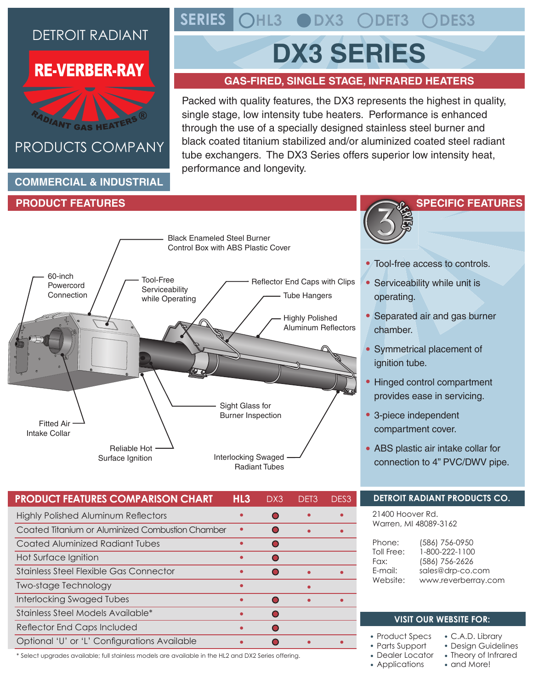## DETROIT RADIANT

## **RE-VERBER-RAY**



## PRODUCTS COMPANY

#### **COMMERCIAL & INDUSTRIAL**

#### **PRODUCT FEATURES**

#### Sight Glass for Burner Inspection Tube Hangers Interlocking Swaged Radiant Tubes Reliable Hot Surface Ignition Black Enameled Steel Burner Control Box with ABS Plastic Cover Tool-Free **Serviceability** while Operating 60-inch Powercord **Connection** Fitted Air Intake Collar Highly Polished Aluminum Reflectors Reflector End Caps with Clips

| HL <sub>3</sub> | DX3 | DFT3 | DES3 |
|-----------------|-----|------|------|
|                 |     |      |      |
|                 |     |      |      |
|                 |     |      |      |
|                 |     |      |      |
|                 |     |      |      |
|                 |     |      |      |
|                 |     |      |      |
|                 |     |      |      |
|                 |     |      |      |
|                 |     |      |      |
|                 |     |      |      |

**SERIES HL3 DX3 DET3 DES3**

# **DX3 SERIES**

### **GAS-FIRED, SINGLE STAGE, INFRARED HEATERS**

Packed with quality features, the DX3 represents the highest in quality, single stage, low intensity tube heaters. Performance is enhanced through the use of a specially designed stainless steel burner and black coated titanium stabilized and/or aluminized coated steel radiant tube exchangers. The DX3 Series offers superior low intensity heat, performance and longevity.



- Tool-free access to controls.
- Serviceability while unit is operating.
- Separated air and gas burner chamber.
- Symmetrical placement of ignition tube.
- Hinged control compartment provides ease in servicing.
- 3-piece independent compartment cover.
- ABS plastic air intake collar for connection to 4" PVC/DWV pipe.

### **DETROIT RADIANT PRODUCTS CO.**

21400 Hoover Rd. Warren, MI 48089-3162

| Phone:     | (586) 756-0950      |
|------------|---------------------|
| Toll Free: | 1-800-222-1100      |
| Fax:       | (586) 756-2626      |
| E-mail:    | sales@drp-co.com    |
| Website:   | www.reverberray.com |
|            |                     |

#### **VISIT OUR WEBSITE FOR:**

- Product Specs
- Parts Support
- Dealer Locator
- Applications
- C.A.D. Library Design Guidelines
- Theory of Infrared
- and More!

\* Select upgrades available; full stainless models are available in the HL2 and DX2 Series offering.